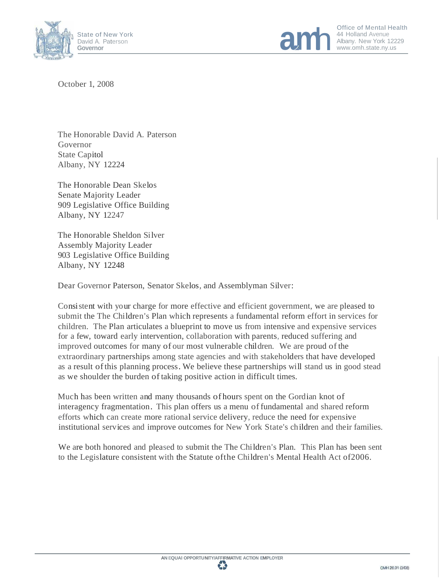



Office of Mental Health<br>44 Holland Avenue<br>Albany. New York 12229

October 1, 2008

The Honorable David A. Paterson Governor State Capitol Albany, NY 12224

The Honorable Dean Skelos Senate Majority Leader 909 Legislative Office Building Albany, NY 12247

The Honorable Sheldon Silver Assembly Majority Leader 903 Legislative Office Building Albany, NY 12248

Dear Governor Paterson, Senator Skelos, and Assemblyman Silver:

Consistent with your charge for more effective and efficient government, we are pleased to submit the The Children's Plan which represents a fundamental reform effort in services for children. The Plan articulates a blueprint to move us from intensive and expensive services for a few, toward early intervention, collaboration with parents, reduced suffering and improved outcomes for many of our most vulnerable children. We are proud ofthe extraordinary partnerships among state agencies and with stakeholders that have developed as a result ofthis planning process. We believe these partnerships will stand us in good stead as we shoulder the burden oftaking positive action in difficult times.

Much has been written and many thousands of hours spent on the Gordian knot of interagency fragmentation. This plan offers us a menu offundamental and shared reform efforts which can create more rational service delivery, reduce the need for expensive institutional services and improve outcomes for New York State's children and their families.

We are both honored and pleased to submit the The Children's Plan. This Plan has been sent to the Legislature consistent with the Statute ofthe Children's Mental Health Act of2006.